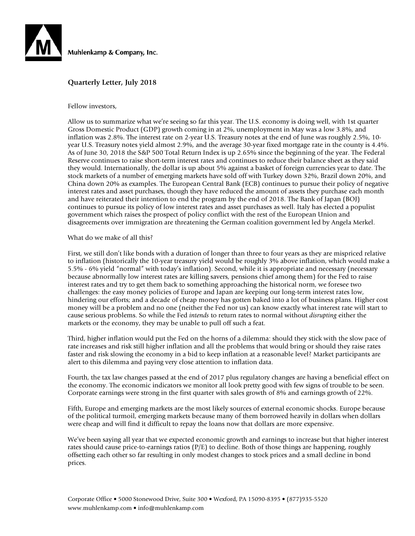

## **Quarterly Letter, July 2018**

Fellow investors,

Allow us to summarize what we're seeing so far this year. The U.S. economy is doing well, with 1st quarter Gross Domestic Product (GDP) growth coming in at 2%, unemployment in May was a low 3.8%, and inflation was 2.8%. The interest rate on 2-year U.S. Treasury notes at the end of June was roughly 2.5%, 10 year U.S. Treasury notes yield almost 2.9%, and the average 30-year fixed mortgage rate in the county is 4.4%. As of June 30, 2018 the S&P 500 Total Return Index is up 2.65% since the beginning of the year. The Federal Reserve continues to raise short-term interest rates and continues to reduce their balance sheet as they said they would. Internationally, the dollar is up about 5% against a basket of foreign currencies year to date. The stock markets of a number of emerging markets have sold off with Turkey down 32%, Brazil down 20%, and China down 20% as examples. The European Central Bank (ECB) continues to pursue their policy of negative interest rates and asset purchases, though they have reduced the amount of assets they purchase each month and have reiterated their intention to end the program by the end of 2018. The Bank of Japan (BOJ) continues to pursue its policy of low interest rates and asset purchases as well. Italy has elected a populist government which raises the prospect of policy conflict with the rest of the European Union and disagreements over immigration are threatening the German coalition government led by Angela Merkel.

#### What do we make of all this?

First, we still don't like bonds with a duration of longer than three to four years as they are mispriced relative to inflation (historically the 10-year treasury yield would be roughly 3% above inflation, which would make a 5.5% - 6% yield "normal" with today's inflation). Second, while it is appropriate and necessary (necessary because abnormally low interest rates are killing savers, pensions chief among them) for the Fed to raise interest rates and try to get them back to something approaching the historical norm, we foresee two challenges: the easy money policies of Europe and Japan are keeping our long-term interest rates low, hindering our efforts; and a decade of cheap money has gotten baked into a lot of business plans. Higher cost money will be a problem and no one (neither the Fed nor us) can know exactly what interest rate will start to cause serious problems. So while the Fed *intends* to return rates to normal without *disrupting* either the markets or the economy, they may be unable to pull off such a feat.

Third, higher inflation would put the Fed on the horns of a dilemma: should they stick with the slow pace of rate increases and risk still higher inflation and all the problems that would bring or should they raise rates faster and risk slowing the economy in a bid to keep inflation at a reasonable level? Market participants are alert to this dilemma and paying very close attention to inflation data.

Fourth, the tax law changes passed at the end of 2017 plus regulatory changes are having a beneficial effect on the economy. The economic indicators we monitor all look pretty good with few signs of trouble to be seen. Corporate earnings were strong in the first quarter with sales growth of 8% and earnings growth of 22%.

Fifth, Europe and emerging markets are the most likely sources of external economic shocks. Europe because of the political turmoil, emerging markets because many of them borrowed heavily in dollars when dollars were cheap and will find it difficult to repay the loans now that dollars are more expensive.

We've been saying all year that we expected economic growth and earnings to increase but that higher interest rates should cause price-to-earnings ratios  $(P/E)$  to decline. Both of those things are happening, roughly offsetting each other so far resulting in only modest changes to stock prices and a small decline in bond prices.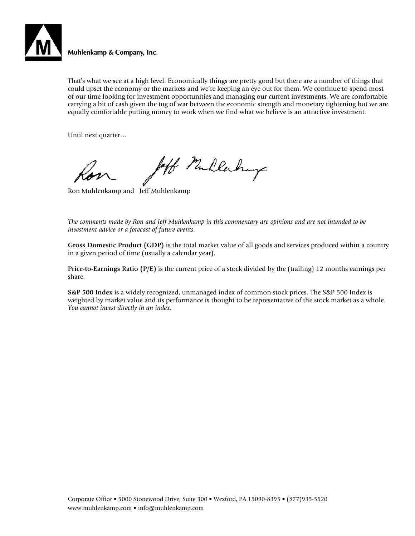

That's what we see at a high level. Economically things are pretty good but there are a number of things that could upset the economy or the markets and we're keeping an eye out for them. We continue to spend most of our time looking for investment opportunities and managing our current investments. We are comfortable carrying a bit of cash given the tug of war between the economic strength and monetary tightening but we are equally comfortable putting money to work when we find what we believe is an attractive investment.

Until next quarter…

laff Mullerhays

Ron Muhlenkamp and Jeff Muhlenkamp

*The comments made by Ron and Jeff Muhlenkamp in this commentary are opinions and are not intended to be investment advice or a forecast of future events.*

**Gross Domestic Product (GDP)** is the total market value of all goods and services produced within a country in a given period of time (usually a calendar year).

**Price-to-Earnings Ratio (P/E)** is the current price of a stock divided by the (trailing) 12 months earnings per share.

**S&P 500 Index** is a widely recognized, unmanaged index of common stock prices. The S&P 500 Index is weighted by market value and its performance is thought to be representative of the stock market as a whole. *You cannot invest directly in an index.*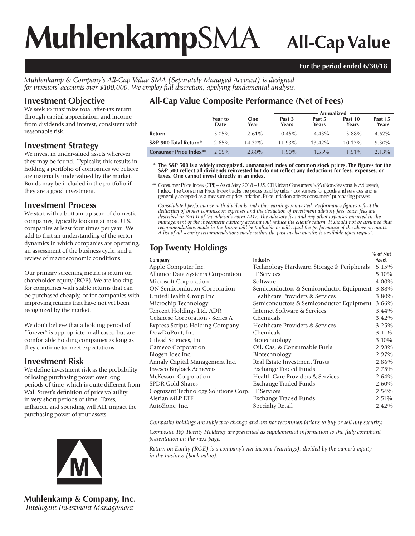# **Muhlenkamp**SMA **All-Cap Value**

## **For the period ended 6/30/18**

*Muhlenkamp & Company's All-Cap Value SMA (Separately Managed Account) is designed for investors' accounts over \$100,000. We employ full discretion, applying fundamental analysis.*

# **Investment Objective**

We seek to maximize total after-tax return through capital appreciation, and income from dividends and interest, consistent with reasonable risk.

# **Investment Strategy**

We invest in undervalued assets wherever they may be found. Typically, this results in holding a portfolio of companies we believe are materially undervalued by the market. Bonds may be included in the portfolio if they are a good investment.

# **Investment Process**

We start with a bottom-up scan of domestic companies, typically looking at most U.S. companies at least four times per year. We add to that an understanding of the sector dynamics in which companies are operating, an assessment of the business cycle, and a review of macroeconomic conditions.

Our primary screening metric is return on shareholder equity (ROE). We are looking for companies with stable returns that can be purchased cheaply, or for companies with improving returns that have not yet been recognized by the market.

We don't believe that a holding period of "forever" is appropriate in all cases, but are comfortable holding companies as long as they continue to meet expectations.

# **Investment Risk**

We define investment risk as the probability of losing purchasing power over long periods of time, which is quite different from Wall Street's definition of price volatility in very short periods of time. Taxes, inflation, and spending will ALL impact the purchasing power of your assets.



**Muhlenkamp & Company, Inc.** Intelligent Investment Management

# **All-Cap Value Composite Performance (Net of Fees)**

|                               |                 |                    | Annualized      |                 |                  |                  |  |
|-------------------------------|-----------------|--------------------|-----------------|-----------------|------------------|------------------|--|
|                               | Year to<br>Date | <b>One</b><br>Year | Past 3<br>Years | Past 5<br>Years | Past 10<br>Years | Past 15<br>Years |  |
| Refurn                        | $-5.05\%$       | $2.61\%$           | $-0.45%$        | 4.43%           | 3.88%            | $4.62\%$         |  |
| S&P 500 Total Return*         | $2.65\%$        | $14.37\%$          | 11.93%          | $13.42\%$       | $10.17\%$        | $9.30\%$         |  |
| <b>Consumer Price Index**</b> | $2.05\%$        | $2.80\%$           | $1.90\%$        | $1.55\%$        | $1.51\%$         | $2.13\%$         |  |

\* The S&P 500 is a widely recognized, unmanaged index of common stock prices. The figures for the S&P 500 reflect all dividends reinvested but do not reflect any deductions for fees, expenses, or **taxes. One cannot invest directly in an index.**

 \*\* Consumer Price Index (CPI) – As of May 2018 – U.S. CPI Urban Consumers NSA (Non-Seasonally Adjusted), Index. The Consumer Price Index tracks the prices paid by urban consumers for goods and services and is generally accepted as a measure of price infl ation. Price infl ation affects consumers' purchasing power.

Consolidated performance with dividends and other earnings reinvested. Performance figures reflect the *deduction of broker commission expenses and the deduction of investment advisory fees. Such fees are described in Part II of the adviser's Form ADV. The advisory fees and any other expenses incurred in the management of the investment advisory account will reduce the client's return. It should not be assumed that recommendations made in the future will be profi table or will equal the performance of the above accounts. A list of all security recommendations made within the past twelve months is available upon request.*

# **Top Twenty Holdings CONSERVING SET AND TWO SETS**

| Lompany |  |
|---------|--|
|         |  |

| Company                                | Industry                                   | Asset |
|----------------------------------------|--------------------------------------------|-------|
| Apple Computer Inc.                    | Technology Hardware, Storage & Peripherals | 5.15% |
| Alliance Data Systems Corporation      | <b>IT Services</b>                         | 5.10% |
| Microsoft Corporation                  | Software                                   | 4.00% |
| <b>ON Semiconductor Corporation</b>    | Semiconductors & Semiconductor Equipment   | 3.88% |
| UnitedHealth Group Inc.                | Healthcare Providers & Services            | 3.80% |
| Microchip Technology                   | Semiconductors & Semiconductor Equipment   | 3.66% |
| Tencent Holdings Ltd. ADR              | Internet Software & Services               | 3.44% |
| Celanese Corporation - Series A        | Chemicals                                  | 3.42% |
| <b>Express Scripts Holding Company</b> | Healthcare Providers & Services            | 3.25% |
| DowDuPont, Inc.                        | Chemicals                                  | 3.11% |
| Gilead Sciences, Inc.                  | Biotechnology                              | 3.10% |
| Cameco Corporation                     | Oil, Gas, & Consumable Fuels               | 2.98% |
| Biogen Idec Inc.                       | Biotechnology                              | 2.97% |
| Annaly Capital Management Inc.         | Real Estate Investment Trusts              | 2.86% |
| Invesco Buyback Achievers              | Exchange Traded Funds                      | 2.75% |
| McKesson Corporation                   | Health Care Providers & Services           | 2.64% |
| <b>SPDR Gold Shares</b>                | Exchange Traded Funds                      | 2.60% |
| Cognizant Technology Solutions Corp.   | <b>IT</b> Services                         | 2.54% |
| Alerian MLP ETF                        | Exchange Traded Funds                      | 2.51% |
| AutoZone, Inc.                         | Specialty Retail                           | 2.42% |
|                                        |                                            |       |

*Composite holdings are subject to change and are not recommendations to buy or sell any security.*

*Composite Top Twenty Holdings are presented as supplemental information to the fully compliant presentation on the next page.*

*Return on Equity (ROE) is a company's net income (earnings), divided by the owner's equity in the business (book value).*